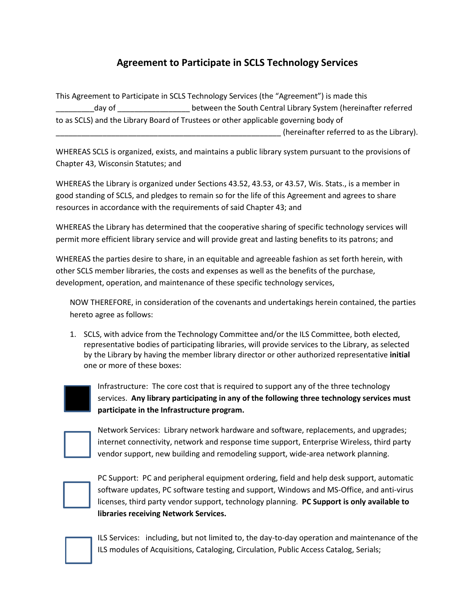## **Agreement to Participate in SCLS Technology Services**

This Agreement to Participate in SCLS Technology Services (the "Agreement") is made this day of **Example 20** between the South Central Library System (hereinafter referred to as SCLS) and the Library Board of Trustees or other applicable governing body of (hereinafter referred to as the Library).

WHEREAS SCLS is organized, exists, and maintains a public library system pursuant to the provisions of Chapter 43, Wisconsin Statutes; and

WHEREAS the Library is organized under Sections 43.52, 43.53, or 43.57, Wis. Stats., is a member in good standing of SCLS, and pledges to remain so for the life of this Agreement and agrees to share resources in accordance with the requirements of said Chapter 43; and

WHEREAS the Library has determined that the cooperative sharing of specific technology services will permit more efficient library service and will provide great and lasting benefits to its patrons; and

WHEREAS the parties desire to share, in an equitable and agreeable fashion as set forth herein, with other SCLS member libraries, the costs and expenses as well as the benefits of the purchase, development, operation, and maintenance of these specific technology services,

NOW THEREFORE, in consideration of the covenants and undertakings herein contained, the parties hereto agree as follows:

1. SCLS, with advice from the Technology Committee and/or the ILS Committee, both elected, representative bodies of participating libraries, will provide services to the Library, as selected by the Library by having the member library director or other authorized representative **initial** one or more of these boxes:



Infrastructure: The core cost that is required to support any of the three technology services. **Any library participating in any of the following three technology services must participate in the Infrastructure program.**

Network Services: Library network hardware and software, replacements, and upgrades; internet connectivity, network and response time support, Enterprise Wireless, third party vendor support, new building and remodeling support, wide-area network planning.



PC Support: PC and peripheral equipment ordering, field and help desk support, automatic software updates, PC software testing and support, Windows and MS-Office, and anti-virus licenses, third party vendor support, technology planning. **PC Support is only available to libraries receiving Network Services.**

ILS Services: including, but not limited to, the day-to-day operation and maintenance of the ILS modules of Acquisitions, Cataloging, Circulation, Public Access Catalog, Serials;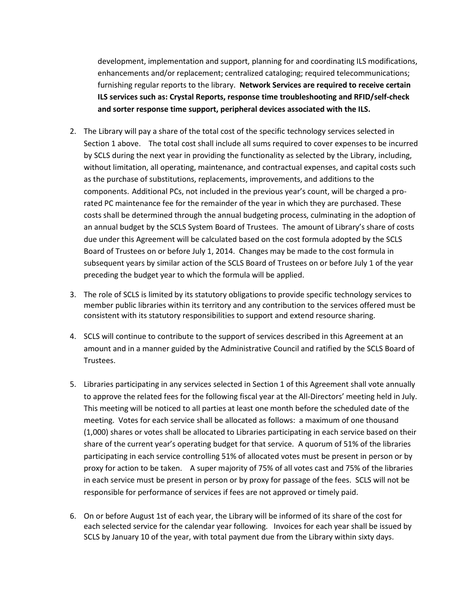development, implementation and support, planning for and coordinating ILS modifications, enhancements and/or replacement; centralized cataloging; required telecommunications; furnishing regular reports to the library. **Network Services are required to receive certain ILS services such as: Crystal Reports, response time troubleshooting and RFID/self-check and sorter response time support, peripheral devices associated with the ILS.**

- 2. The Library will pay a share of the total cost of the specific technology services selected in Section 1 above. The total cost shall include all sums required to cover expenses to be incurred by SCLS during the next year in providing the functionality as selected by the Library, including, without limitation, all operating, maintenance, and contractual expenses, and capital costs such as the purchase of substitutions, replacements, improvements, and additions to the components. Additional PCs, not included in the previous year's count, will be charged a prorated PC maintenance fee for the remainder of the year in which they are purchased. These costs shall be determined through the annual budgeting process, culminating in the adoption of an annual budget by the SCLS System Board of Trustees. The amount of Library's share of costs due under this Agreement will be calculated based on the cost formula adopted by the SCLS Board of Trustees on or before July 1, 2014. Changes may be made to the cost formula in subsequent years by similar action of the SCLS Board of Trustees on or before July 1 of the year preceding the budget year to which the formula will be applied.
- 3. The role of SCLS is limited by its statutory obligations to provide specific technology services to member public libraries within its territory and any contribution to the services offered must be consistent with its statutory responsibilities to support and extend resource sharing.
- 4. SCLS will continue to contribute to the support of services described in this Agreement at an amount and in a manner guided by the Administrative Council and ratified by the SCLS Board of Trustees.
- 5. Libraries participating in any services selected in Section 1 of this Agreement shall vote annually to approve the related fees for the following fiscal year at the All-Directors' meeting held in July. This meeting will be noticed to all parties at least one month before the scheduled date of the meeting. Votes for each service shall be allocated as follows: a maximum of one thousand (1,000) shares or votes shall be allocated to Libraries participating in each service based on their share of the current year's operating budget for that service. A quorum of 51% of the libraries participating in each service controlling 51% of allocated votes must be present in person or by proxy for action to be taken. A super majority of 75% of all votes cast and 75% of the libraries in each service must be present in person or by proxy for passage of the fees. SCLS will not be responsible for performance of services if fees are not approved or timely paid.
- 6. On or before August 1st of each year, the Library will be informed of its share of the cost for each selected service for the calendar year following. Invoices for each year shall be issued by SCLS by January 10 of the year, with total payment due from the Library within sixty days.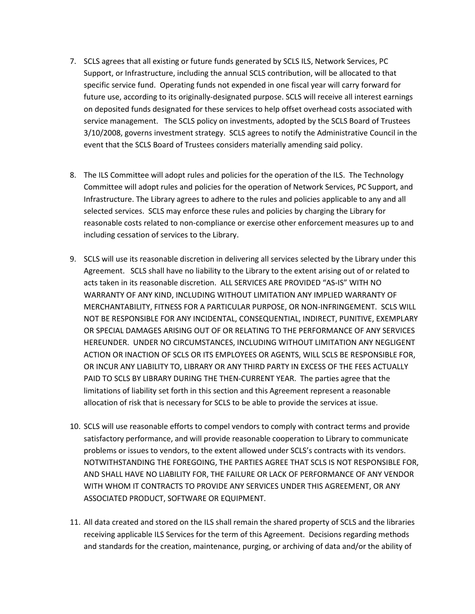- 7. SCLS agrees that all existing or future funds generated by SCLS ILS, Network Services, PC Support, or Infrastructure, including the annual SCLS contribution, will be allocated to that specific service fund. Operating funds not expended in one fiscal year will carry forward for future use, according to its originally-designated purpose. SCLS will receive all interest earnings on deposited funds designated for these services to help offset overhead costs associated with service management. The SCLS policy on investments, adopted by the SCLS Board of Trustees 3/10/2008, governs investment strategy. SCLS agrees to notify the Administrative Council in the event that the SCLS Board of Trustees considers materially amending said policy.
- 8. The ILS Committee will adopt rules and policies for the operation of the ILS. The Technology Committee will adopt rules and policies for the operation of Network Services, PC Support, and Infrastructure. The Library agrees to adhere to the rules and policies applicable to any and all selected services. SCLS may enforce these rules and policies by charging the Library for reasonable costs related to non-compliance or exercise other enforcement measures up to and including cessation of services to the Library.
- 9. SCLS will use its reasonable discretion in delivering all services selected by the Library under this Agreement. SCLS shall have no liability to the Library to the extent arising out of or related to acts taken in its reasonable discretion. ALL SERVICES ARE PROVIDED "AS-IS" WITH NO WARRANTY OF ANY KIND, INCLUDING WITHOUT LIMITATION ANY IMPLIED WARRANTY OF MERCHANTABILITY, FITNESS FOR A PARTICULAR PURPOSE, OR NON-INFRINGEMENT. SCLS WILL NOT BE RESPONSIBLE FOR ANY INCIDENTAL, CONSEQUENTIAL, INDIRECT, PUNITIVE, EXEMPLARY OR SPECIAL DAMAGES ARISING OUT OF OR RELATING TO THE PERFORMANCE OF ANY SERVICES HEREUNDER. UNDER NO CIRCUMSTANCES, INCLUDING WITHOUT LIMITATION ANY NEGLIGENT ACTION OR INACTION OF SCLS OR ITS EMPLOYEES OR AGENTS, WILL SCLS BE RESPONSIBLE FOR, OR INCUR ANY LIABILITY TO, LIBRARY OR ANY THIRD PARTY IN EXCESS OF THE FEES ACTUALLY PAID TO SCLS BY LIBRARY DURING THE THEN-CURRENT YEAR. The parties agree that the limitations of liability set forth in this section and this Agreement represent a reasonable allocation of risk that is necessary for SCLS to be able to provide the services at issue.
- 10. SCLS will use reasonable efforts to compel vendors to comply with contract terms and provide satisfactory performance, and will provide reasonable cooperation to Library to communicate problems or issues to vendors, to the extent allowed under SCLS's contracts with its vendors. NOTWITHSTANDING THE FOREGOING, THE PARTIES AGREE THAT SCLS IS NOT RESPONSIBLE FOR, AND SHALL HAVE NO LIABILITY FOR, THE FAILURE OR LACK OF PERFORMANCE OF ANY VENDOR WITH WHOM IT CONTRACTS TO PROVIDE ANY SERVICES UNDER THIS AGREEMENT, OR ANY ASSOCIATED PRODUCT, SOFTWARE OR EQUIPMENT.
- 11. All data created and stored on the ILS shall remain the shared property of SCLS and the libraries receiving applicable ILS Services for the term of this Agreement. Decisions regarding methods and standards for the creation, maintenance, purging, or archiving of data and/or the ability of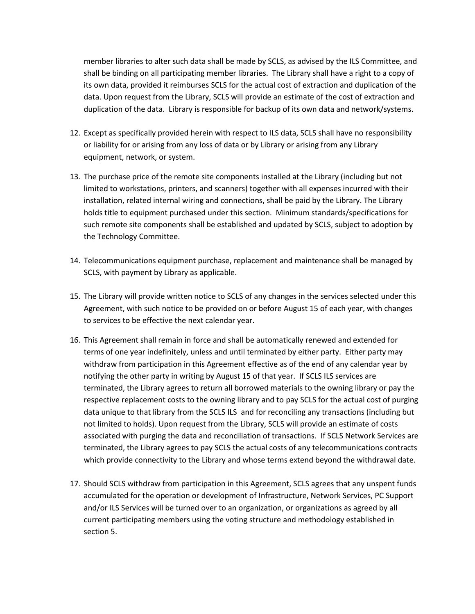member libraries to alter such data shall be made by SCLS, as advised by the ILS Committee, and shall be binding on all participating member libraries. The Library shall have a right to a copy of its own data, provided it reimburses SCLS for the actual cost of extraction and duplication of the data. Upon request from the Library, SCLS will provide an estimate of the cost of extraction and duplication of the data. Library is responsible for backup of its own data and network/systems.

- 12. Except as specifically provided herein with respect to ILS data, SCLS shall have no responsibility or liability for or arising from any loss of data or by Library or arising from any Library equipment, network, or system.
- 13. The purchase price of the remote site components installed at the Library (including but not limited to workstations, printers, and scanners) together with all expenses incurred with their installation, related internal wiring and connections, shall be paid by the Library. The Library holds title to equipment purchased under this section. Minimum standards/specifications for such remote site components shall be established and updated by SCLS, subject to adoption by the Technology Committee.
- 14. Telecommunications equipment purchase, replacement and maintenance shall be managed by SCLS, with payment by Library as applicable.
- 15. The Library will provide written notice to SCLS of any changes in the services selected under this Agreement, with such notice to be provided on or before August 15 of each year, with changes to services to be effective the next calendar year.
- 16. This Agreement shall remain in force and shall be automatically renewed and extended for terms of one year indefinitely, unless and until terminated by either party. Either party may withdraw from participation in this Agreement effective as of the end of any calendar year by notifying the other party in writing by August 15 of that year. If SCLS ILS services are terminated, the Library agrees to return all borrowed materials to the owning library or pay the respective replacement costs to the owning library and to pay SCLS for the actual cost of purging data unique to that library from the SCLS ILS and for reconciling any transactions (including but not limited to holds). Upon request from the Library, SCLS will provide an estimate of costs associated with purging the data and reconciliation of transactions. If SCLS Network Services are terminated, the Library agrees to pay SCLS the actual costs of any telecommunications contracts which provide connectivity to the Library and whose terms extend beyond the withdrawal date.
- 17. Should SCLS withdraw from participation in this Agreement, SCLS agrees that any unspent funds accumulated for the operation or development of Infrastructure, Network Services, PC Support and/or ILS Services will be turned over to an organization, or organizations as agreed by all current participating members using the voting structure and methodology established in section 5.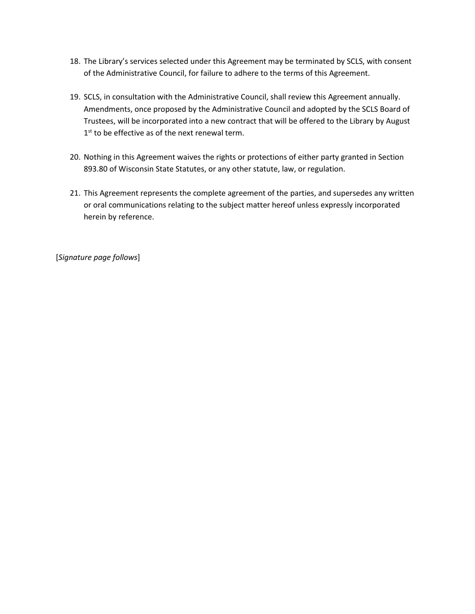- 18. The Library's services selected under this Agreement may be terminated by SCLS, with consent of the Administrative Council, for failure to adhere to the terms of this Agreement.
- 19. SCLS, in consultation with the Administrative Council, shall review this Agreement annually. Amendments, once proposed by the Administrative Council and adopted by the SCLS Board of Trustees, will be incorporated into a new contract that will be offered to the Library by August 1<sup>st</sup> to be effective as of the next renewal term.
- 20. Nothing in this Agreement waives the rights or protections of either party granted in Section 893.80 of Wisconsin State Statutes, or any other statute, law, or regulation.
- 21. This Agreement represents the complete agreement of the parties, and supersedes any written or oral communications relating to the subject matter hereof unless expressly incorporated herein by reference.

[*Signature page follows*]